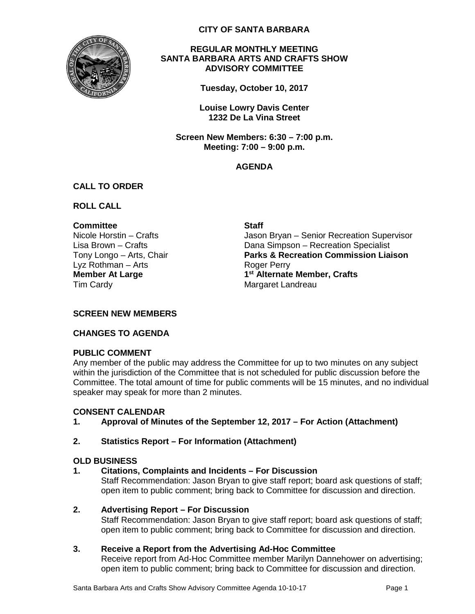

**CITY OF SANTA BARBARA**

#### **REGULAR MONTHLY MEETING SANTA BARBARA ARTS AND CRAFTS SHOW ADVISORY COMMITTEE**

**Tuesday, October 10, 2017**

**Louise Lowry Davis Center 1232 De La Vina Street**

**Screen New Members: 6:30 – 7:00 p.m. Meeting: 7:00 – 9:00 p.m.**

### **AGENDA**

## **CALL TO ORDER**

**ROLL CALL**

### **Committee Staff**

Lyz Rothman – Arts **Roger Perry Member At Large** Tim Cardy

Nicole Horstin – Crafts The Museum Jason Bryan – Senior Recreation Supervisor Lisa Brown – Crafts **Dana Simpson – Recreation Specialist** Tony Longo – Arts, Chair **Parks & Recreation Commission Liaison 1st Alternate Member, Crafts** Margaret Landreau

### **SCREEN NEW MEMBERS**

### **CHANGES TO AGENDA**

### **PUBLIC COMMENT**

Any member of the public may address the Committee for up to two minutes on any subject within the jurisdiction of the Committee that is not scheduled for public discussion before the Committee. The total amount of time for public comments will be 15 minutes, and no individual speaker may speak for more than 2 minutes.

## **CONSENT CALENDAR**

## **1. Approval of Minutes of the September 12, 2017 – For Action (Attachment)**

## **2. Statistics Report – For Information (Attachment)**

### **OLD BUSINESS**

### **1. Citations, Complaints and Incidents – For Discussion**

Staff Recommendation: Jason Bryan to give staff report; board ask questions of staff; open item to public comment; bring back to Committee for discussion and direction.

### **2. Advertising Report – For Discussion**

Staff Recommendation: Jason Bryan to give staff report; board ask questions of staff; open item to public comment; bring back to Committee for discussion and direction.

### **3. Receive a Report from the Advertising Ad-Hoc Committee**

Receive report from Ad-Hoc Committee member Marilyn Dannehower on advertising; open item to public comment; bring back to Committee for discussion and direction.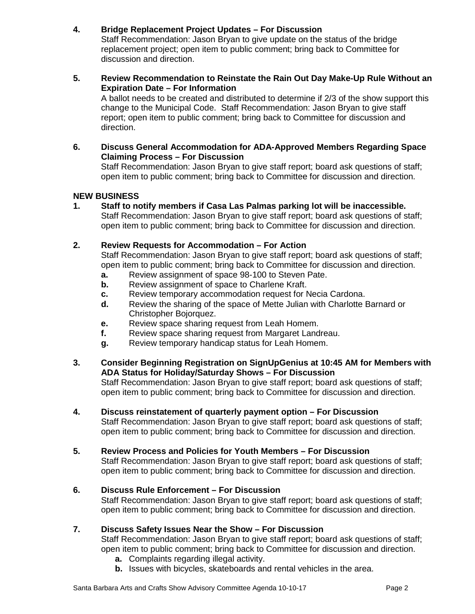### **4. Bridge Replacement Project Updates – For Discussion**

Staff Recommendation: Jason Bryan to give update on the status of the bridge replacement project; open item to public comment; bring back to Committee for discussion and direction.

**5. Review Recommendation to Reinstate the Rain Out Day Make-Up Rule Without an Expiration Date – For Information**

A ballot needs to be created and distributed to determine if 2/3 of the show support this change to the Municipal Code. Staff Recommendation: Jason Bryan to give staff report; open item to public comment; bring back to Committee for discussion and direction.

**6. Discuss General Accommodation for ADA-Approved Members Regarding Space Claiming Process – For Discussion** 

Staff Recommendation: Jason Bryan to give staff report; board ask questions of staff; open item to public comment; bring back to Committee for discussion and direction.

### **NEW BUSINESS**

**1. Staff to notify members if Casa Las Palmas parking lot will be inaccessible.** Staff Recommendation: Jason Bryan to give staff report; board ask questions of staff; open item to public comment; bring back to Committee for discussion and direction.

### **2. Review Requests for Accommodation – For Action**

Staff Recommendation: Jason Bryan to give staff report; board ask questions of staff; open item to public comment; bring back to Committee for discussion and direction.

- **a.** Review assignment of space 98-100 to Steven Pate.
- **b.** Review assignment of space to Charlene Kraft.
- **c.** Review temporary accommodation request for Necia Cardona.
- **d.** Review the sharing of the space of Mette Julian with Charlotte Barnard or Christopher Bojorquez.
- **e.** Review space sharing request from Leah Homem.
- **f.** Review space sharing request from Margaret Landreau.
- **g.** Review temporary handicap status for Leah Homem.
- **3. Consider Beginning Registration on SignUpGenius at 10:45 AM for Members with ADA Status for Holiday/Saturday Shows – For Discussion**

Staff Recommendation: Jason Bryan to give staff report; board ask questions of staff; open item to public comment; bring back to Committee for discussion and direction.

## **4. Discuss reinstatement of quarterly payment option – For Discussion**

Staff Recommendation: Jason Bryan to give staff report; board ask questions of staff; open item to public comment; bring back to Committee for discussion and direction.

### **5. Review Process and Policies for Youth Members – For Discussion**

Staff Recommendation: Jason Bryan to give staff report; board ask questions of staff; open item to public comment; bring back to Committee for discussion and direction.

### **6. Discuss Rule Enforcement – For Discussion**

Staff Recommendation: Jason Bryan to give staff report; board ask questions of staff; open item to public comment; bring back to Committee for discussion and direction.

### **7. Discuss Safety Issues Near the Show – For Discussion**

Staff Recommendation: Jason Bryan to give staff report; board ask questions of staff; open item to public comment; bring back to Committee for discussion and direction.

- **a.** Complaints regarding illegal activity.
- **b.** Issues with bicycles, skateboards and rental vehicles in the area.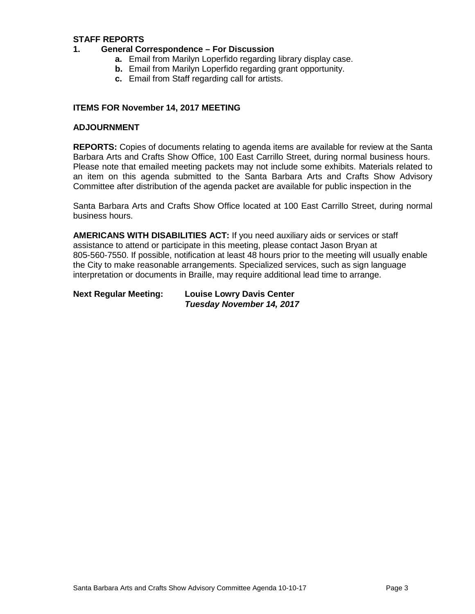### **STAFF REPORTS**

- **1. General Correspondence – For Discussion**
	- **a.** Email from Marilyn Loperfido regarding library display case.
	- **b.** Email from Marilyn Loperfido regarding grant opportunity.
	- **c.** Email from Staff regarding call for artists.

#### **ITEMS FOR November 14, 2017 MEETING**

#### **ADJOURNMENT**

**REPORTS:** Copies of documents relating to agenda items are available for review at the Santa Barbara Arts and Crafts Show Office, 100 East Carrillo Street, during normal business hours. Please note that emailed meeting packets may not include some exhibits. Materials related to an item on this agenda submitted to the Santa Barbara Arts and Crafts Show Advisory Committee after distribution of the agenda packet are available for public inspection in the

Santa Barbara Arts and Crafts Show Office located at 100 East Carrillo Street, during normal business hours.

**AMERICANS WITH DISABILITIES ACT:** If you need auxiliary aids or services or staff assistance to attend or participate in this meeting, please contact Jason Bryan at 805-560-7550. If possible, notification at least 48 hours prior to the meeting will usually enable the City to make reasonable arrangements. Specialized services, such as sign language interpretation or documents in Braille, may require additional lead time to arrange.

| <b>Next Regular Meeting:</b> | <b>Louise Lowry Davis Center</b> |
|------------------------------|----------------------------------|
|                              | Tuesday November 14, 2017        |